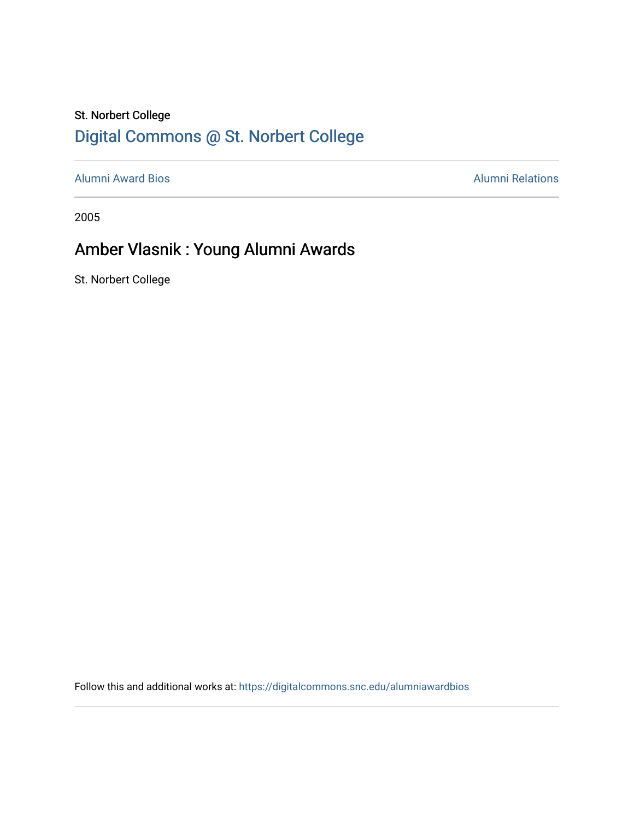## St. Norbert College [Digital Commons @ St. Norbert College](https://digitalcommons.snc.edu/)

[Alumni Award Bios](https://digitalcommons.snc.edu/alumniawardbios) **Alumni Relations** Alumni Relations

2005

## Amber Vlasnik : Young Alumni Awards

St. Norbert College

Follow this and additional works at: [https://digitalcommons.snc.edu/alumniawardbios](https://digitalcommons.snc.edu/alumniawardbios?utm_source=digitalcommons.snc.edu%2Falumniawardbios%2F16&utm_medium=PDF&utm_campaign=PDFCoverPages)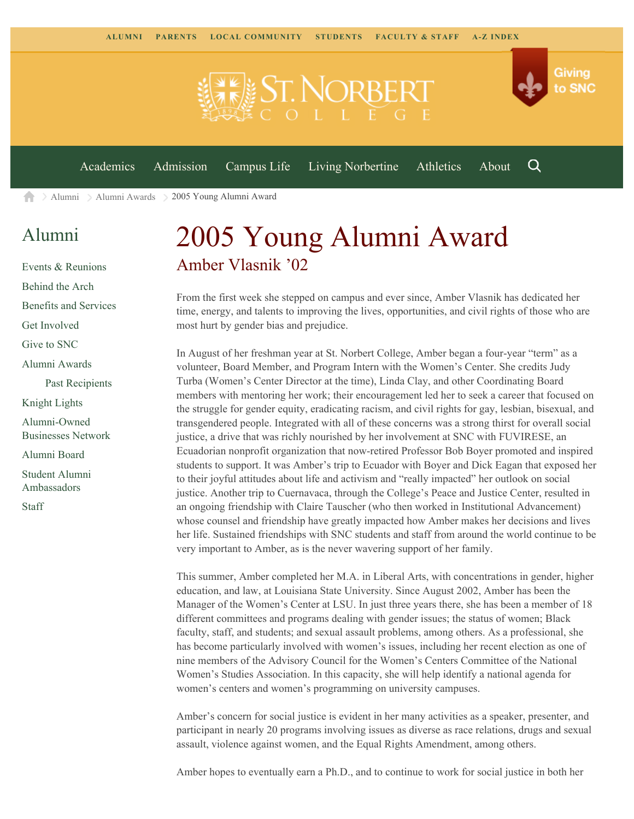

[Alumni](https://www.snc.edu/alumni/) [Alumni Awards](https://www.snc.edu/alumni/awards/) 2005 Young Alumni Award A

## [Alumni](https://www.snc.edu/alumni/index.html)

[Events & Reunions](https://www.snc.edu/alumni/event/index.html) [Behind the Arch](https://www.snc.edu/alumni/event/behindthearch/) [Benefits and Services](https://www.snc.edu/alumni/benefits.html) [Get Involved](https://www.snc.edu/alumni/getinvolved.html) [Give to SNC](http://giving.snc.edu/) [Alumni Awards](https://www.snc.edu/alumni/awards/index.html) [Past Recipients](https://www.snc.edu/alumni/awards/recipients.html) [Knight Lights](https://www.snc.edu/alumni/knightlights/index.html) [Alumni-Owned](https://www.snc.edu/alumni/directory/index.html) [Businesses Network](https://www.snc.edu/alumni/directory/index.html) [Alumni Board](https://www.snc.edu/alumni/alumniboard.html) [Student Alumni](https://www.snc.edu/alumni/saa.html) [Ambassadors](https://www.snc.edu/alumni/saa.html) [Staff](https://www.snc.edu/alumni/contactus.html)

## 2005 Young Alumni Award Amber Vlasnik '02

From the first week she stepped on campus and ever since, Amber Vlasnik has dedicated her time, energy, and talents to improving the lives, opportunities, and civil rights of those who are most hurt by gender bias and prejudice.

In August of her freshman year at St. Norbert College, Amber began a four-year "term" as a volunteer, Board Member, and Program Intern with the Women's Center. She credits Judy Turba (Women's Center Director at the time), Linda Clay, and other Coordinating Board members with mentoring her work; their encouragement led her to seek a career that focused on the struggle for gender equity, eradicating racism, and civil rights for gay, lesbian, bisexual, and transgendered people. Integrated with all of these concerns was a strong thirst for overall social justice, a drive that was richly nourished by her involvement at SNC with FUVIRESE, an Ecuadorian nonprofit organization that now-retired Professor Bob Boyer promoted and inspired students to support. It was Amber's trip to Ecuador with Boyer and Dick Eagan that exposed her to their joyful attitudes about life and activism and "really impacted" her outlook on social justice. Another trip to Cuernavaca, through the College's Peace and Justice Center, resulted in an ongoing friendship with Claire Tauscher (who then worked in Institutional Advancement) whose counsel and friendship have greatly impacted how Amber makes her decisions and lives her life. Sustained friendships with SNC students and staff from around the world continue to be very important to Amber, as is the never wavering support of her family.

This summer, Amber completed her M.A. in Liberal Arts, with concentrations in gender, higher education, and law, at Louisiana State University. Since August 2002, Amber has been the Manager of the Women's Center at LSU. In just three years there, she has been a member of 18 different committees and programs dealing with gender issues; the status of women; Black faculty, staff, and students; and sexual assault problems, among others. As a professional, she has become particularly involved with women's issues, including her recent election as one of nine members of the Advisory Council for the Women's Centers Committee of the National Women's Studies Association. In this capacity, she will help identify a national agenda for women's centers and women's programming on university campuses.

Amber's concern for social justice is evident in her many activities as a speaker, presenter, and participant in nearly 20 programs involving issues as diverse as race relations, drugs and sexual assault, violence against women, and the Equal Rights Amendment, among others.

Amber hopes to eventually earn a Ph.D., and to continue to work for social justice in both her